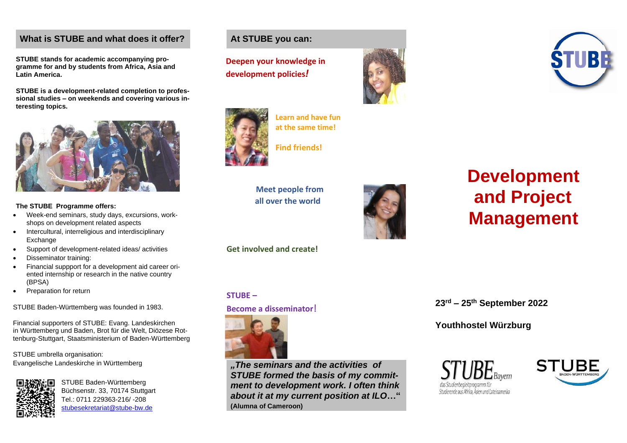## **What is STUBE and what does it offer?**

**STUBE stands for academic accompanying programme for and by students from Africa, Asia and Latin America.**

**STUBE is a development-related completion to professional studies – on weekends and covering various interesting topics.**



#### **The STUBE Programme offers:**

- Week-end seminars, study days, excursions, workshops on development related aspects
- Intercultural, interreligious and interdisciplinary Exchange
- Support of development-related ideas/ activities
- Disseminator training:
- Financial suppport for a development aid career oriented internship or research in the native country (BPSA)
- Preparation for return

STUBE Baden-Württemberg was founded in 1983.

Financial supporters of STUBE: Evang. Landeskirchen in Württemberg und Baden, Brot für die Welt, Diözese Rottenburg-Stuttgart, Staatsministerium of Baden-Württemberg

STUBE umbrella organisation: Evangelische Landeskirche in Württemberg



STUBE Baden-Württemberg Büchsenstr. 33, 70174 Stuttgart Tel.: 0711 229363-216/ -208 [stubesekretariat@stube-bw.de](mailto:stubesekretariat@stube-bw.de) 

# **At STUBE you can:**

**M Deepen your knowledge in development policies***!*



**Learn and have fun at the same time!**



**Find friends!** 

 **Meet people from all over the world** 



# **Development and Project Management**

**Get involved and create!**

### **STUBE –**

**Become a disseminator**!



*"The seminars and the activities of STUBE formed the basis of my commitment to development work. I often think about it at my current position at ILO***…" (Alumna of Cameroon)**

**23rd – 25th September 2022 23. – 25. September 2022 Jugendherberge Würzburg**

**Youthhostel Würzburg**